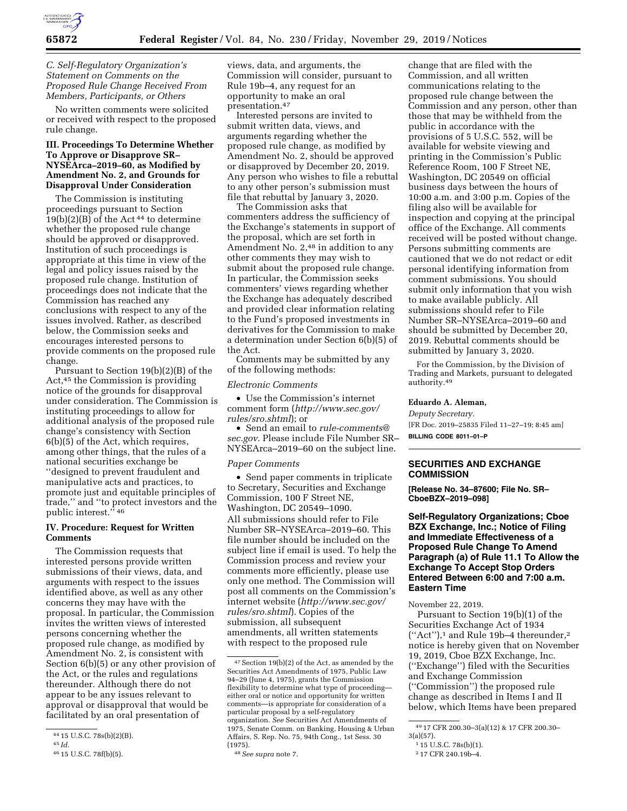

## *C. Self-Regulatory Organization's Statement on Comments on the Proposed Rule Change Received From Members, Participants, or Others*

No written comments were solicited or received with respect to the proposed rule change.

### **III. Proceedings To Determine Whether To Approve or Disapprove SR– NYSEArca–2019–60, as Modified by Amendment No. 2, and Grounds for Disapproval Under Consideration**

The Commission is instituting proceedings pursuant to Section  $19(b)(2)(B)$  of the Act<sup>44</sup> to determine whether the proposed rule change should be approved or disapproved. Institution of such proceedings is appropriate at this time in view of the legal and policy issues raised by the proposed rule change. Institution of proceedings does not indicate that the Commission has reached any conclusions with respect to any of the issues involved. Rather, as described below, the Commission seeks and encourages interested persons to provide comments on the proposed rule change.

Pursuant to Section 19(b)(2)(B) of the Act,45 the Commission is providing notice of the grounds for disapproval under consideration. The Commission is instituting proceedings to allow for additional analysis of the proposed rule change's consistency with Section 6(b)(5) of the Act, which requires, among other things, that the rules of a national securities exchange be ''designed to prevent fraudulent and manipulative acts and practices, to promote just and equitable principles of trade,'' and ''to protect investors and the public interest.'' 46

### **IV. Procedure: Request for Written Comments**

The Commission requests that interested persons provide written submissions of their views, data, and arguments with respect to the issues identified above, as well as any other concerns they may have with the proposal. In particular, the Commission invites the written views of interested persons concerning whether the proposed rule change, as modified by Amendment No. 2, is consistent with Section 6(b)(5) or any other provision of the Act, or the rules and regulations thereunder. Although there do not appear to be any issues relevant to approval or disapproval that would be facilitated by an oral presentation of

views, data, and arguments, the Commission will consider, pursuant to Rule 19b–4, any request for an opportunity to make an oral presentation.47

Interested persons are invited to submit written data, views, and arguments regarding whether the proposed rule change, as modified by Amendment No. 2, should be approved or disapproved by December 20, 2019. Any person who wishes to file a rebuttal to any other person's submission must file that rebuttal by January 3, 2020.

The Commission asks that commenters address the sufficiency of the Exchange's statements in support of the proposal, which are set forth in Amendment No. 2,<sup>48</sup> in addition to any other comments they may wish to submit about the proposed rule change. In particular, the Commission seeks commenters' views regarding whether the Exchange has adequately described and provided clear information relating to the Fund's proposed investments in derivatives for the Commission to make a determination under Section 6(b)(5) of the Act.

Comments may be submitted by any of the following methods:

### *Electronic Comments*

• Use the Commission's internet comment form (*[http://www.sec.gov/](http://www.sec.gov/rules/sro.shtml)  [rules/sro.shtml](http://www.sec.gov/rules/sro.shtml)*); or

• Send an email to *[rule-comments@](mailto:rule-comments@sec.gov) [sec.gov.](mailto:rule-comments@sec.gov)* Please include File Number SR– NYSEArca–2019–60 on the subject line.

#### *Paper Comments*

• Send paper comments in triplicate to Secretary, Securities and Exchange Commission, 100 F Street NE, Washington, DC 20549–1090. All submissions should refer to File Number SR–NYSEArca–2019–60. This file number should be included on the subject line if email is used. To help the Commission process and review your comments more efficiently, please use only one method. The Commission will post all comments on the Commission's internet website (*[http://www.sec.gov/](http://www.sec.gov/rules/sro.shtml)  [rules/sro.shtml](http://www.sec.gov/rules/sro.shtml)*). Copies of the submission, all subsequent amendments, all written statements with respect to the proposed rule

change that are filed with the Commission, and all written communications relating to the proposed rule change between the Commission and any person, other than those that may be withheld from the public in accordance with the provisions of 5 U.S.C. 552, will be available for website viewing and printing in the Commission's Public Reference Room, 100 F Street NE, Washington, DC 20549 on official business days between the hours of 10:00 a.m. and 3:00 p.m. Copies of the filing also will be available for inspection and copying at the principal office of the Exchange. All comments received will be posted without change. Persons submitting comments are cautioned that we do not redact or edit personal identifying information from comment submissions. You should submit only information that you wish to make available publicly. All submissions should refer to File Number SR–NYSEArca–2019–60 and should be submitted by December 20, 2019. Rebuttal comments should be submitted by January 3, 2020.

For the Commission, by the Division of Trading and Markets, pursuant to delegated authority.49

#### **Eduardo A. Aleman,**

*Deputy Secretary.*  [FR Doc. 2019–25835 Filed 11–27–19; 8:45 am] **BILLING CODE 8011–01–P** 

### **SECURITIES AND EXCHANGE COMMISSION**

**[Release No. 34–87600; File No. SR– CboeBZX–2019–098]** 

**Self-Regulatory Organizations; Cboe BZX Exchange, Inc.; Notice of Filing and Immediate Effectiveness of a Proposed Rule Change To Amend Paragraph (a) of Rule 11.1 To Allow the Exchange To Accept Stop Orders Entered Between 6:00 and 7:00 a.m. Eastern Time** 

November 22, 2019.

Pursuant to Section 19(b)(1) of the Securities Exchange Act of 1934  $("Act")$ ,<sup>1</sup> and Rule 19b-4 thereunder,<sup>2</sup> notice is hereby given that on November 19, 2019, Cboe BZX Exchange, Inc. (''Exchange'') filed with the Securities and Exchange Commission (''Commission'') the proposed rule change as described in Items I and II below, which Items have been prepared

<sup>44</sup> 15 U.S.C. 78s(b)(2)(B).

<sup>45</sup> *Id.* 

<sup>46</sup> 15 U.S.C. 78f(b)(5).

<sup>47</sup>Section 19(b)(2) of the Act, as amended by the Securities Act Amendments of 1975, Public Law 94–29 (June 4, 1975), grants the Commission flexibility to determine what type of proceeding either oral or notice and opportunity for written comments—is appropriate for consideration of a particular proposal by a self-regulatory organization. *See* Securities Act Amendments of 1975, Senate Comm. on Banking, Housing & Urban Affairs, S. Rep. No. 75, 94th Cong., 1st Sess. 30 (1975).

<sup>48</sup>*See supra* note 7.

<sup>49</sup> 17 CFR 200.30–3(a)(12) & 17 CFR 200.30–

<sup>3(</sup>a)(57).

<sup>1</sup> 15 U.S.C. 78s(b)(1).

<sup>2</sup> 17 CFR 240.19b–4.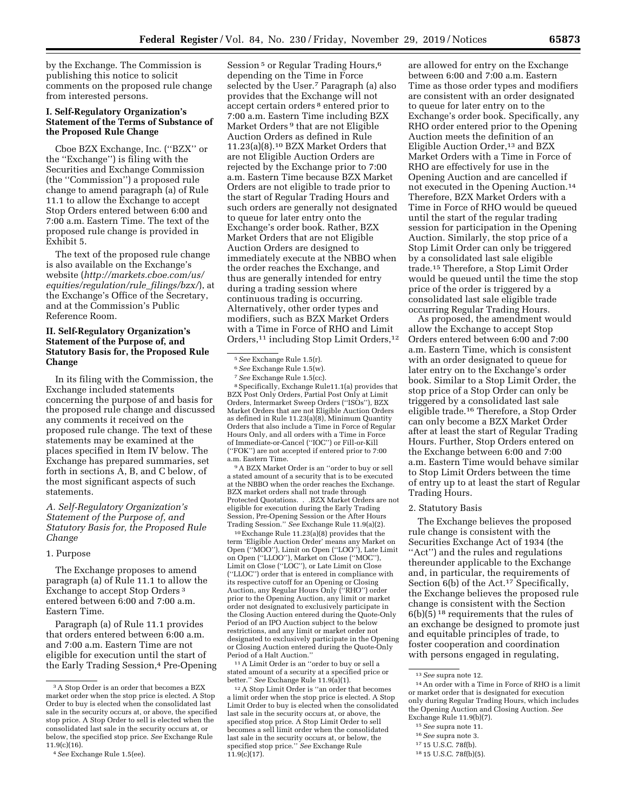by the Exchange. The Commission is publishing this notice to solicit comments on the proposed rule change from interested persons.

# **I. Self-Regulatory Organization's Statement of the Terms of Substance of the Proposed Rule Change**

Cboe BZX Exchange, Inc. (''BZX'' or the ''Exchange'') is filing with the Securities and Exchange Commission (the ''Commission'') a proposed rule change to amend paragraph (a) of Rule 11.1 to allow the Exchange to accept Stop Orders entered between 6:00 and 7:00 a.m. Eastern Time. The text of the proposed rule change is provided in Exhibit 5.

The text of the proposed rule change is also available on the Exchange's website (*[http://markets.cboe.com/us/](http://markets.cboe.com/us/equities/regulation/rule_filings/bzx/) [equities/regulation/rule](http://markets.cboe.com/us/equities/regulation/rule_filings/bzx/)*\_*filings/bzx/*), at the Exchange's Office of the Secretary, and at the Commission's Public Reference Room.

# **II. Self-Regulatory Organization's Statement of the Purpose of, and Statutory Basis for, the Proposed Rule Change**

In its filing with the Commission, the Exchange included statements concerning the purpose of and basis for the proposed rule change and discussed any comments it received on the proposed rule change. The text of these statements may be examined at the places specified in Item IV below. The Exchange has prepared summaries, set forth in sections A, B, and C below, of the most significant aspects of such statements.

# *A. Self-Regulatory Organization's Statement of the Purpose of, and Statutory Basis for, the Proposed Rule Change*

#### 1. Purpose

The Exchange proposes to amend paragraph (a) of Rule 11.1 to allow the Exchange to accept Stop Orders 3 entered between 6:00 and 7:00 a.m. Eastern Time.

Paragraph (a) of Rule 11.1 provides that orders entered between 6:00 a.m. and 7:00 a.m. Eastern Time are not eligible for execution until the start of the Early Trading Session,<sup>4</sup> Pre-Opening

Session<sup>5</sup> or Regular Trading Hours,<sup>6</sup> depending on the Time in Force selected by the User.7 Paragraph (a) also provides that the Exchange will not accept certain orders 8 entered prior to 7:00 a.m. Eastern Time including BZX Market Orders 9 that are not Eligible Auction Orders as defined in Rule 11.23(a)(8).10 BZX Market Orders that are not Eligible Auction Orders are rejected by the Exchange prior to 7:00 a.m. Eastern Time because BZX Market Orders are not eligible to trade prior to the start of Regular Trading Hours and such orders are generally not designated to queue for later entry onto the Exchange's order book. Rather, BZX Market Orders that are not Eligible Auction Orders are designed to immediately execute at the NBBO when the order reaches the Exchange, and thus are generally intended for entry during a trading session where continuous trading is occurring. Alternatively, other order types and modifiers, such as BZX Market Orders with a Time in Force of RHO and Limit Orders,11 including Stop Limit Orders,12

<sup>5</sup> See Exchange Rule 1.5(r).<br><sup>6</sup> See Exchange Rule 1.5(w).<br><sup>7</sup> See Exchange Rule 1.5(cc).<br><sup>8</sup> Specifically, Exchange Rule11.1(a) provides that BZX Post Only Orders, Partial Post Only at Limit Orders, Intermarket Sweep Orders (''ISOs''), BZX Market Orders that are not Eligible Auction Orders as defined in Rule 11.23(a)(8), Minimum Quantity Orders that also include a Time in Force of Regular Hours Only, and all orders with a Time in Force of Immediate-or-Cancel (''IOC'') or Fill-or-Kill (''FOK'') are not accepted if entered prior to 7:00 a.m. Eastern Time.

9A BZX Market Order is an ''order to buy or sell a stated amount of a security that is to be executed at the NBBO when the order reaches the Exchange. BZX market orders shall not trade through Protected Quotations. . .BZX Market Orders are not eligible for execution during the Early Trading Session, Pre-Opening Session or the After Hours Trading Session.'' *See* Exchange Rule 11.9(a)(2).

10Exchange Rule 11.23(a)(8) provides that the term 'Eligible Auction Order' means any Market on Open (''MOO''), Limit on Open (''LOO''), Late Limit on Open (''LLOO''), Market on Close (''MOC''), Limit on Close (''LOC''), or Late Limit on Close (''LLOC'') order that is entered in compliance with its respective cutoff for an Opening or Closing Auction, any Regular Hours Only (''RHO'') order prior to the Opening Auction, any limit or market order not designated to exclusively participate in the Closing Auction entered during the Quote-Only Period of an IPO Auction subject to the below restrictions, and any limit or market order not designated to exclusively participate in the Opening or Closing Auction entered during the Quote-Only Period of a Halt Auction.''

11A Limit Order is an ''order to buy or sell a stated amount of a security at a specified price or better.'' *See* Exchange Rule 11.9(a)(1).

12A Stop Limit Order is ''an order that becomes a limit order when the stop price is elected. A Stop Limit Order to buy is elected when the consolidated last sale in the security occurs at, or above, the specified stop price. A Stop Limit Order to sell becomes a sell limit order when the consolidated last sale in the security occurs at, or below, the specified stop price.'' *See* Exchange Rule  $11.9(c)(17)$ .

are allowed for entry on the Exchange between 6:00 and 7:00 a.m. Eastern Time as those order types and modifiers are consistent with an order designated to queue for later entry on to the Exchange's order book. Specifically, any RHO order entered prior to the Opening Auction meets the definition of an Eligible Auction Order,<sup>13</sup> and BZX Market Orders with a Time in Force of RHO are effectively for use in the Opening Auction and are cancelled if not executed in the Opening Auction.14 Therefore, BZX Market Orders with a Time in Force of RHO would be queued until the start of the regular trading session for participation in the Opening Auction. Similarly, the stop price of a Stop Limit Order can only be triggered by a consolidated last sale eligible trade.15 Therefore, a Stop Limit Order would be queued until the time the stop price of the order is triggered by a consolidated last sale eligible trade occurring Regular Trading Hours.

As proposed, the amendment would allow the Exchange to accept Stop Orders entered between 6:00 and 7:00 a.m. Eastern Time, which is consistent with an order designated to queue for later entry on to the Exchange's order book. Similar to a Stop Limit Order, the stop price of a Stop Order can only be triggered by a consolidated last sale eligible trade.16 Therefore, a Stop Order can only become a BZX Market Order after at least the start of Regular Trading Hours. Further, Stop Orders entered on the Exchange between 6:00 and 7:00 a.m. Eastern Time would behave similar to Stop Limit Orders between the time of entry up to at least the start of Regular Trading Hours.

### 2. Statutory Basis

The Exchange believes the proposed rule change is consistent with the Securities Exchange Act of 1934 (the ''Act'') and the rules and regulations thereunder applicable to the Exchange and, in particular, the requirements of Section 6(b) of the Act.<sup>17</sup> Specifically, the Exchange believes the proposed rule change is consistent with the Section  $6(b)(\overline{5})^{18}$  requirements that the rules of an exchange be designed to promote just and equitable principles of trade, to foster cooperation and coordination with persons engaged in regulating,

- 15*See* supra note 11.
- 16*See* supra note 3.

<sup>3</sup>A Stop Order is an order that becomes a BZX market order when the stop price is elected. A Stop Order to buy is elected when the consolidated last sale in the security occurs at, or above, the specified stop price. A Stop Order to sell is elected when the consolidated last sale in the security occurs at, or below, the specified stop price. *See* Exchange Rule 11.9(c)(16).

<sup>4</sup>*See* Exchange Rule 1.5(ee).

<sup>13</sup>*See* supra note 12.

<sup>14</sup>An order with a Time in Force of RHO is a limit or market order that is designated for execution only during Regular Trading Hours, which includes the Opening Auction and Closing Auction. *See*  Exchange Rule 11.9(b)(7).

<sup>17</sup> 15 U.S.C. 78f(b).

<sup>18</sup> 15 U.S.C. 78f(b)(5).